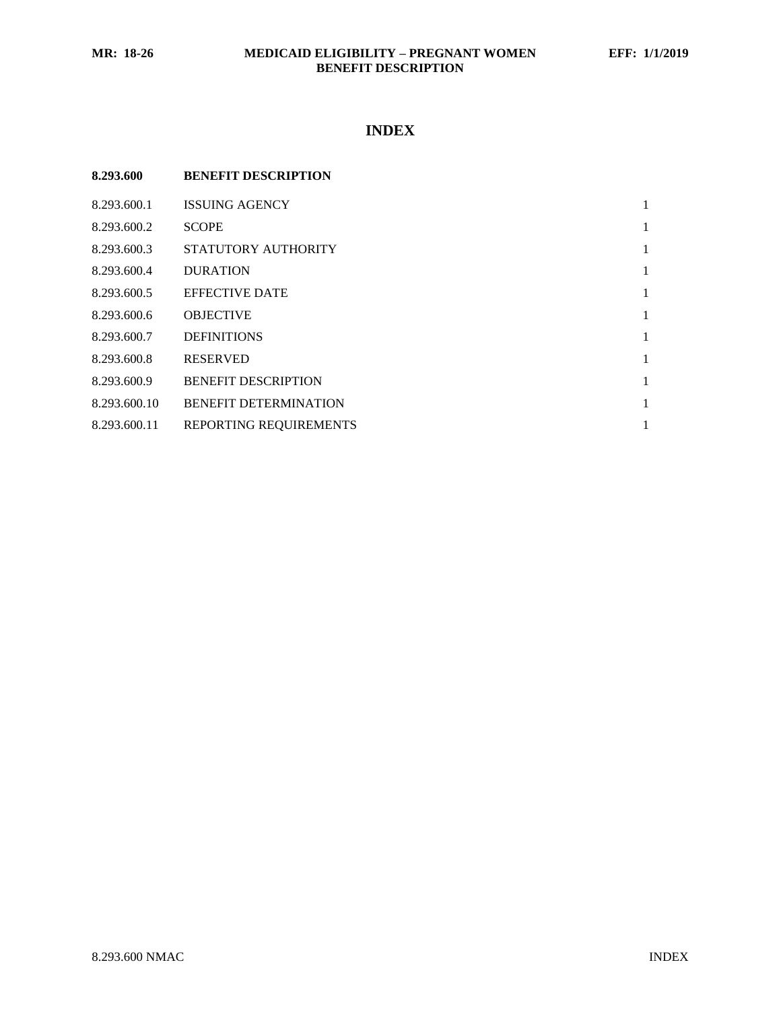## **INDEX**

| 8.293.600    | <b>BENEFIT DESCRIPTION</b>   |   |
|--------------|------------------------------|---|
| 8.293.600.1  | <b>ISSUING AGENCY</b>        | 1 |
| 8.293.600.2  | <b>SCOPE</b>                 | 1 |
| 8.293.600.3  | STATUTORY AUTHORITY          | 1 |
| 8.293.600.4  | <b>DURATION</b>              | 1 |
| 8.293.600.5  | <b>EFFECTIVE DATE</b>        | 1 |
| 8.293.600.6  | <b>OBJECTIVE</b>             | 1 |
| 8.293.600.7  | <b>DEFINITIONS</b>           | 1 |
| 8.293.600.8  | <b>RESERVED</b>              | 1 |
| 8.293.600.9  | <b>BENEFIT DESCRIPTION</b>   | 1 |
| 8.293.600.10 | <b>BENEFIT DETERMINATION</b> | 1 |
| 8.293.600.11 | REPORTING REQUIREMENTS       |   |